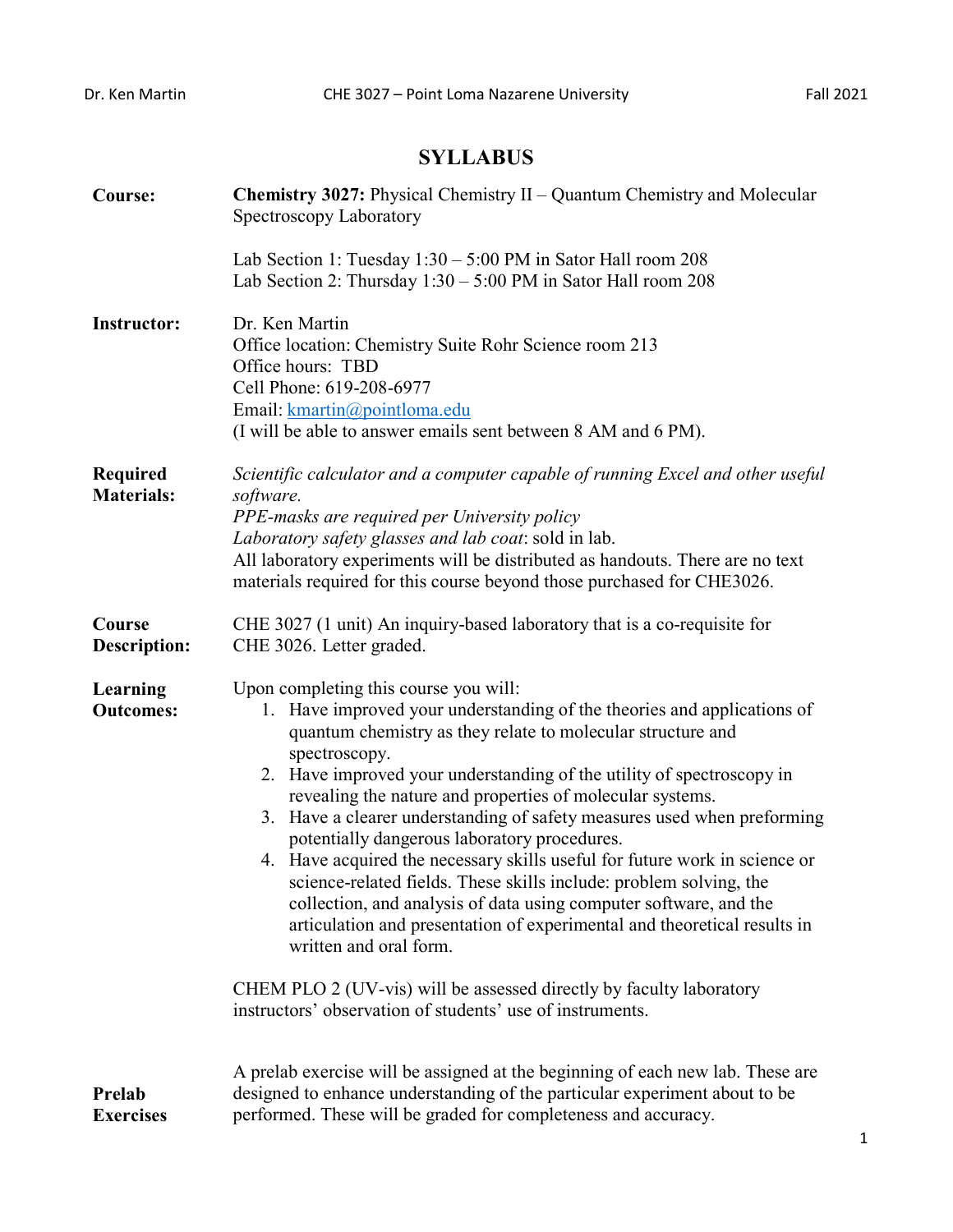## **SYLLABUS**

| <b>Course:</b>                       | <b>Chemistry 3027:</b> Physical Chemistry II – Quantum Chemistry and Molecular<br>Spectroscopy Laboratory                                                                                                                                                                                                                                                                                                                                                                                                                                                                                                                                                                                                                                                                                                                                                                                                                            |  |  |  |
|--------------------------------------|--------------------------------------------------------------------------------------------------------------------------------------------------------------------------------------------------------------------------------------------------------------------------------------------------------------------------------------------------------------------------------------------------------------------------------------------------------------------------------------------------------------------------------------------------------------------------------------------------------------------------------------------------------------------------------------------------------------------------------------------------------------------------------------------------------------------------------------------------------------------------------------------------------------------------------------|--|--|--|
|                                      | Lab Section 1: Tuesday $1:30 - 5:00$ PM in Sator Hall room 208<br>Lab Section 2: Thursday $1:30 - 5:00$ PM in Sator Hall room 208                                                                                                                                                                                                                                                                                                                                                                                                                                                                                                                                                                                                                                                                                                                                                                                                    |  |  |  |
| <b>Instructor:</b>                   | Dr. Ken Martin<br>Office location: Chemistry Suite Rohr Science room 213<br>Office hours: TBD<br>Cell Phone: 619-208-6977<br>Email: kmartin@pointloma.edu<br>(I will be able to answer emails sent between 8 AM and 6 PM).                                                                                                                                                                                                                                                                                                                                                                                                                                                                                                                                                                                                                                                                                                           |  |  |  |
| <b>Required</b><br><b>Materials:</b> | Scientific calculator and a computer capable of running Excel and other useful<br>software.<br>PPE-masks are required per University policy<br>Laboratory safety glasses and lab coat: sold in lab.<br>All laboratory experiments will be distributed as handouts. There are no text<br>materials required for this course beyond those purchased for CHE3026.                                                                                                                                                                                                                                                                                                                                                                                                                                                                                                                                                                       |  |  |  |
| Course<br><b>Description:</b>        | CHE 3027 (1 unit) An inquiry-based laboratory that is a co-requisite for<br>CHE 3026. Letter graded.                                                                                                                                                                                                                                                                                                                                                                                                                                                                                                                                                                                                                                                                                                                                                                                                                                 |  |  |  |
| Learning<br><b>Outcomes:</b>         | Upon completing this course you will:<br>1. Have improved your understanding of the theories and applications of<br>quantum chemistry as they relate to molecular structure and<br>spectroscopy.<br>2. Have improved your understanding of the utility of spectroscopy in<br>revealing the nature and properties of molecular systems.<br>3. Have a clearer understanding of safety measures used when preforming<br>potentially dangerous laboratory procedures.<br>4. Have acquired the necessary skills useful for future work in science or<br>science-related fields. These skills include: problem solving, the<br>collection, and analysis of data using computer software, and the<br>articulation and presentation of experimental and theoretical results in<br>written and oral form.<br>CHEM PLO 2 (UV-vis) will be assessed directly by faculty laboratory<br>instructors' observation of students' use of instruments. |  |  |  |
| Prelab<br><b>Exercises</b>           | A prelab exercise will be assigned at the beginning of each new lab. These are<br>designed to enhance understanding of the particular experiment about to be<br>performed. These will be graded for completeness and accuracy.                                                                                                                                                                                                                                                                                                                                                                                                                                                                                                                                                                                                                                                                                                       |  |  |  |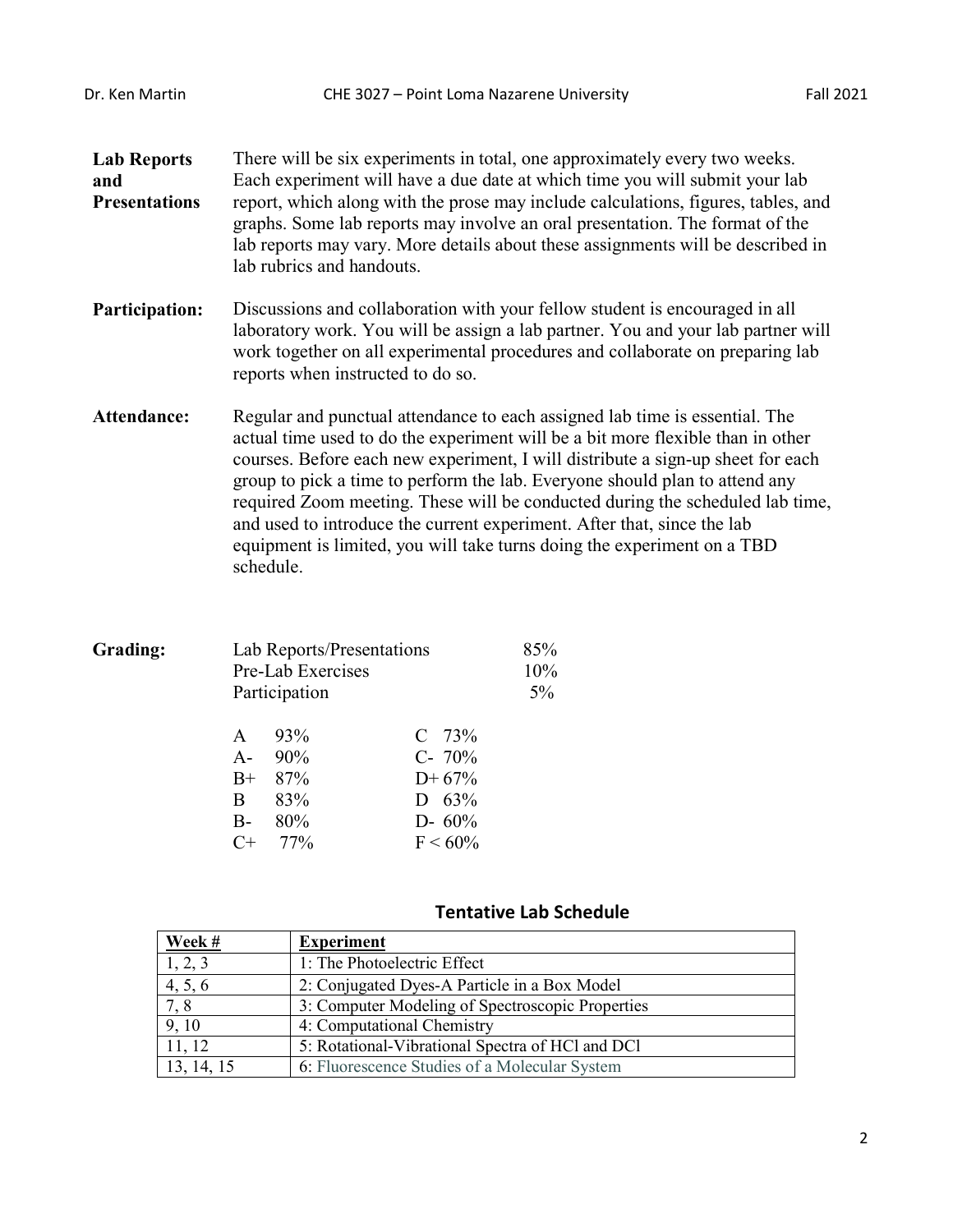**Lab Reports and Presentations** There will be six experiments in total, one approximately every two weeks. Each experiment will have a due date at which time you will submit your lab report, which along with the prose may include calculations, figures, tables, and graphs. Some lab reports may involve an oral presentation. The format of the lab reports may vary. More details about these assignments will be described in lab rubrics and handouts.

- **Participation:** Discussions and collaboration with your fellow student is encouraged in all laboratory work. You will be assign a lab partner. You and your lab partner will work together on all experimental procedures and collaborate on preparing lab reports when instructed to do so.
- **Attendance:** Regular and punctual attendance to each assigned lab time is essential. The actual time used to do the experiment will be a bit more flexible than in other courses. Before each new experiment, I will distribute a sign-up sheet for each group to pick a time to perform the lab. Everyone should plan to attend any required Zoom meeting. These will be conducted during the scheduled lab time, and used to introduce the current experiment. After that, since the lab equipment is limited, you will take turns doing the experiment on a TBD schedule.

| Grading: | Lab Reports/Presentations |               |            | 85%   |
|----------|---------------------------|---------------|------------|-------|
|          | Pre-Lab Exercises         | 10%           |            |       |
|          |                           | Participation |            | $5\%$ |
|          | A                         | 93%           | $C$ 73%    |       |
|          | $A-$                      | 90%           | $C-70%$    |       |
|          | $B+$                      | 87%           | $D+67%$    |       |
|          | B.                        | 83%           | D $63\%$   |       |
|          | $B-$                      | 80%           | $D - 60\%$ |       |
|          |                           | 77%           | $F < 60\%$ |       |
|          |                           |               |            |       |

## **Tentative Lab Schedule**

| Week #     | <b>Experiment</b>                                |
|------------|--------------------------------------------------|
| 1, 2, 3    | 1: The Photoelectric Effect                      |
| 4, 5, 6    | 2: Conjugated Dyes-A Particle in a Box Model     |
| 7,8        | 3: Computer Modeling of Spectroscopic Properties |
| 9, 10      | 4: Computational Chemistry                       |
| 11, 12     | 5: Rotational-Vibrational Spectra of HCl and DCl |
| 13, 14, 15 | 6: Fluorescence Studies of a Molecular System    |